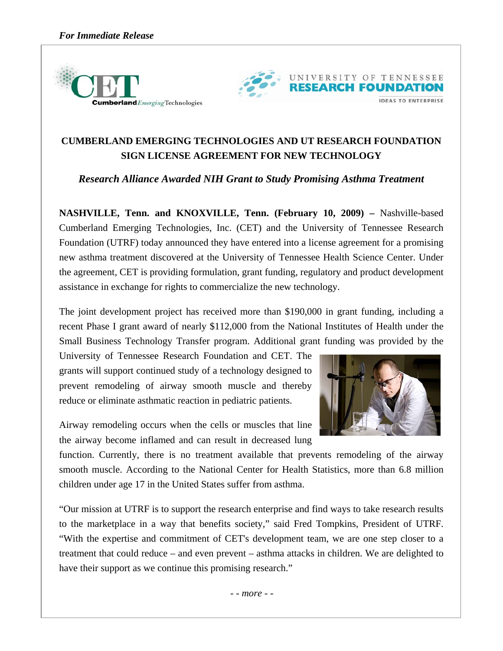



## **CUMBERLAND EMERGING TECHNOLOGIES AND UT RESEARCH FOUNDATION SIGN LICENSE AGREEMENT FOR NEW TECHNOLOGY**

*Research Alliance Awarded NIH Grant to Study Promising Asthma Treatment* 

**NASHVILLE, Tenn. and KNOXVILLE, Tenn. (February 10, 2009) –** Nashville-based Cumberland Emerging Technologies, Inc. (CET) and the University of Tennessee Research Foundation (UTRF) today announced they have entered into a license agreement for a promising new asthma treatment discovered at the University of Tennessee Health Science Center. Under the agreement, CET is providing formulation, grant funding, regulatory and product development assistance in exchange for rights to commercialize the new technology.

The joint development project has received more than \$190,000 in grant funding, including a recent Phase I grant award of nearly \$112,000 from the National Institutes of Health under the Small Business Technology Transfer program. Additional grant funding was provided by the

University of Tennessee Research Foundation and CET. The grants will support continued study of a technology designed to prevent remodeling of airway smooth muscle and thereby reduce or eliminate asthmatic reaction in pediatric patients.

Airway remodeling occurs when the cells or muscles that line the airway become inflamed and can result in decreased lung



function. Currently, there is no treatment available that prevents remodeling of the airway smooth muscle. According to the National Center for Health Statistics, more than 6.8 million children under age 17 in the United States suffer from asthma.

"Our mission at UTRF is to support the research enterprise and find ways to take research results to the marketplace in a way that benefits society," said Fred Tompkins, President of UTRF. "With the expertise and commitment of CET's development team, we are one step closer to a treatment that could reduce – and even prevent – asthma attacks in children. We are delighted to have their support as we continue this promising research."